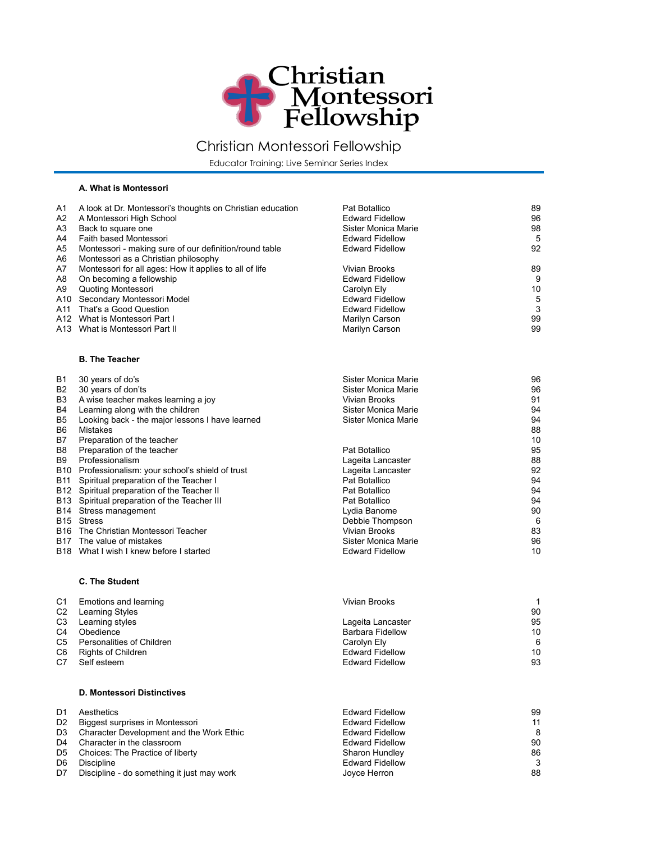

## Christian Montessori Fellowship

Educator Training: Live Seminar Series Index

## **A. What is Montessori**

| A1<br>A2<br>A3<br>A4<br>A5<br>A6                                      | A look at Dr. Montessori's thoughts on Christian education<br>A Montessori High School<br>Back to square one<br>Faith based Montessori<br>Montessori - making sure of our definition/round table<br>Montessori as a Christian philosophy                                                                                                                                                                                                                                                                                                                                                                                                 | Pat Botallico<br><b>Edward Fidellow</b><br>Sister Monica Marie<br><b>Edward Fidellow</b><br><b>Edward Fidellow</b>                                                                                                                                                                                                           | 89<br>96<br>98<br>5<br>92                                                                               |
|-----------------------------------------------------------------------|------------------------------------------------------------------------------------------------------------------------------------------------------------------------------------------------------------------------------------------------------------------------------------------------------------------------------------------------------------------------------------------------------------------------------------------------------------------------------------------------------------------------------------------------------------------------------------------------------------------------------------------|------------------------------------------------------------------------------------------------------------------------------------------------------------------------------------------------------------------------------------------------------------------------------------------------------------------------------|---------------------------------------------------------------------------------------------------------|
| A7<br>A8<br>A9<br>A11                                                 | Montessori for all ages: How it applies to all of life<br>On becoming a fellowship<br>Quoting Montessori<br>A10 Secondary Montessori Model<br>That's a Good Question<br>A12 What is Montessori Part I<br>A13 What is Montessori Part II                                                                                                                                                                                                                                                                                                                                                                                                  | Vivian Brooks<br><b>Edward Fidellow</b><br>Carolyn Ely<br><b>Edward Fidellow</b><br><b>Edward Fidellow</b><br>Marilyn Carson<br>Marilyn Carson                                                                                                                                                                               | 89<br>9<br>10<br>5<br>3<br>99<br>99                                                                     |
|                                                                       | <b>B. The Teacher</b>                                                                                                                                                                                                                                                                                                                                                                                                                                                                                                                                                                                                                    |                                                                                                                                                                                                                                                                                                                              |                                                                                                         |
| B1<br>B <sub>2</sub><br>B3<br>B4<br>B5<br>B6<br>B7<br>B8<br>B9<br>B11 | 30 years of do's<br>30 years of don'ts<br>A wise teacher makes learning a joy<br>Learning along with the children<br>Looking back - the major lessons I have learned<br><b>Mistakes</b><br>Preparation of the teacher<br>Preparation of the teacher<br>Professionalism<br>B10 Professionalism: your school's shield of trust<br>Spiritual preparation of the Teacher I<br>B12 Spiritual preparation of the Teacher II<br>B13 Spiritual preparation of the Teacher III<br>B14 Stress management<br>B <sub>15</sub> Stress<br>B16 The Christian Montessori Teacher<br>B17 The value of mistakes<br>B18 What I wish I knew before I started | Sister Monica Marie<br>Sister Monica Marie<br>Vivian Brooks<br>Sister Monica Marie<br>Sister Monica Marie<br>Pat Botallico<br>Lageita Lancaster<br>Lageita Lancaster<br>Pat Botallico<br>Pat Botallico<br>Pat Botallico<br>Lydia Banome<br>Debbie Thompson<br>Vivian Brooks<br>Sister Monica Marie<br><b>Edward Fidellow</b> | 96<br>96<br>91<br>94<br>94<br>88<br>10<br>95<br>88<br>92<br>94<br>94<br>94<br>90<br>6<br>83<br>96<br>10 |
|                                                                       | <b>C. The Student</b>                                                                                                                                                                                                                                                                                                                                                                                                                                                                                                                                                                                                                    |                                                                                                                                                                                                                                                                                                                              |                                                                                                         |
| C1<br>C <sub>2</sub><br>C <sub>3</sub><br>C4<br>C5<br>C6<br>C7        | Emotions and learning<br><b>Learning Styles</b><br>Learning styles<br>Obedience<br>Personalities of Children<br><b>Rights of Children</b><br>Self esteem                                                                                                                                                                                                                                                                                                                                                                                                                                                                                 | <b>Vivian Brooks</b><br>Lageita Lancaster<br><b>Barbara Fidellow</b><br>Carolyn Ely<br><b>Edward Fidellow</b><br><b>Edward Fidellow</b>                                                                                                                                                                                      | 1<br>90<br>95<br>10<br>6<br>10<br>93                                                                    |
|                                                                       | <b>D. Montessori Distinctives</b>                                                                                                                                                                                                                                                                                                                                                                                                                                                                                                                                                                                                        |                                                                                                                                                                                                                                                                                                                              |                                                                                                         |
| D1<br>D2<br>D3<br>D4<br>D5<br>D6<br>D7                                | Aesthetics<br>Biggest surprises in Montessori<br>Character Development and the Work Ethic<br>Character in the classroom<br>Choices: The Practice of liberty<br><b>Discipline</b><br>Discipline - do something it just may work                                                                                                                                                                                                                                                                                                                                                                                                           | <b>Edward Fidellow</b><br><b>Edward Fidellow</b><br><b>Edward Fidellow</b><br><b>Edward Fidellow</b><br>Sharon Hundley<br><b>Edward Fidellow</b><br>Joyce Herron                                                                                                                                                             | 99<br>11<br>8<br>90<br>86<br>3<br>88                                                                    |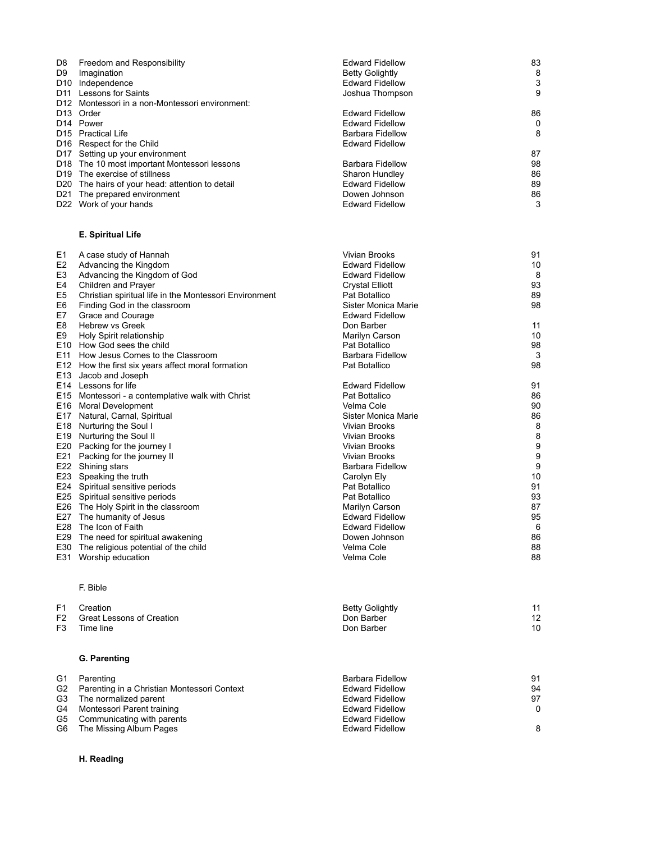| D8<br>D9                                                              | Freedom and Responsibility<br>Imagination<br>D10 Independence<br>D11 Lessons for Saints<br>D12 Montessori in a non-Montessori environment:                                                                                                                                                                                                                                                                                                                                                                                                                                                       | <b>Edward Fidellow</b><br><b>Betty Golightly</b><br><b>Edward Fidellow</b><br>Joshua Thompson                                                                                                                                                                                                                                            | 83<br>8<br>3<br>9                                                                                  |
|-----------------------------------------------------------------------|--------------------------------------------------------------------------------------------------------------------------------------------------------------------------------------------------------------------------------------------------------------------------------------------------------------------------------------------------------------------------------------------------------------------------------------------------------------------------------------------------------------------------------------------------------------------------------------------------|------------------------------------------------------------------------------------------------------------------------------------------------------------------------------------------------------------------------------------------------------------------------------------------------------------------------------------------|----------------------------------------------------------------------------------------------------|
|                                                                       | D <sub>13</sub> Order<br>D <sub>14</sub> Power<br>D <sub>15</sub> Practical Life<br>D16 Respect for the Child<br>D17 Setting up your environment                                                                                                                                                                                                                                                                                                                                                                                                                                                 | <b>Edward Fidellow</b><br><b>Edward Fidellow</b><br><b>Barbara Fidellow</b><br><b>Edward Fidellow</b>                                                                                                                                                                                                                                    | 86<br>0<br>8<br>87                                                                                 |
|                                                                       | D18 The 10 most important Montessori lessons<br>D19 The exercise of stillness<br>D20 The hairs of your head: attention to detail<br>D21 The prepared environment<br>D22 Work of your hands                                                                                                                                                                                                                                                                                                                                                                                                       | Barbara Fidellow<br>Sharon Hundley<br><b>Edward Fidellow</b><br>Dowen Johnson<br><b>Edward Fidellow</b>                                                                                                                                                                                                                                  | 98<br>86<br>89<br>86<br>3                                                                          |
|                                                                       | E. Spiritual Life                                                                                                                                                                                                                                                                                                                                                                                                                                                                                                                                                                                |                                                                                                                                                                                                                                                                                                                                          |                                                                                                    |
| E1<br>E2<br>E3<br>E4<br>E5<br>E6<br>E7<br>E8<br>E <sub>9</sub><br>E11 | A case study of Hannah<br>Advancing the Kingdom<br>Advancing the Kingdom of God<br>Children and Prayer<br>Christian spiritual life in the Montessori Environment<br>Finding God in the classroom<br>Grace and Courage<br><b>Hebrew vs Greek</b><br>Holy Spirit relationship<br>E10 How God sees the child<br>How Jesus Comes to the Classroom<br>E12 How the first six years affect moral formation<br>E13 Jacob and Joseph                                                                                                                                                                      | Vivian Brooks<br><b>Edward Fidellow</b><br><b>Edward Fidellow</b><br><b>Crystal Elliott</b><br>Pat Botallico<br>Sister Monica Marie<br><b>Edward Fidellow</b><br>Don Barber<br>Marilyn Carson<br>Pat Botallico<br><b>Barbara Fidellow</b><br>Pat Botallico                                                                               | 91<br>10<br>8<br>93<br>89<br>98<br>11<br>10<br>98<br>3<br>98                                       |
|                                                                       | E14 Lessons for life<br>E15 Montessori - a contemplative walk with Christ<br>E16 Moral Development<br>E17 Natural, Carnal, Spiritual<br>E18 Nurturing the Soul I<br>E19 Nurturing the Soul II<br>E20 Packing for the journey I<br>E21 Packing for the journey II<br>E22 Shining stars<br>E23 Speaking the truth<br>E24 Spiritual sensitive periods<br>E25 Spiritual sensitive periods<br>E26 The Holy Spirit in the classroom<br>E27 The humanity of Jesus<br>E28 The Icon of Faith<br>E29 The need for spiritual awakening<br>E30 The religious potential of the child<br>E31 Worship education | <b>Edward Fidellow</b><br>Pat Bottalico<br>Velma Cole<br>Sister Monica Marie<br>Vivian Brooks<br>Vivian Brooks<br>Vivian Brooks<br>Vivian Brooks<br>Barbara Fidellow<br>Carolyn Ely<br>Pat Botallico<br>Pat Botallico<br>Marilyn Carson<br><b>Edward Fidellow</b><br><b>Edward Fidellow</b><br>Dowen Johnson<br>Velma Cole<br>Velma Cole | 91<br>86<br>90<br>86<br>8<br>8<br>9<br>9<br>9<br>10<br>91<br>93<br>87<br>95<br>6<br>86<br>88<br>88 |
| F1<br>F2<br>F3                                                        | F. Bible<br>Creation<br>Great Lessons of Creation<br>Time line                                                                                                                                                                                                                                                                                                                                                                                                                                                                                                                                   | <b>Betty Golightly</b><br>Don Barber<br>Don Barber                                                                                                                                                                                                                                                                                       | 11<br>12<br>10                                                                                     |
|                                                                       | <b>G. Parenting</b>                                                                                                                                                                                                                                                                                                                                                                                                                                                                                                                                                                              |                                                                                                                                                                                                                                                                                                                                          |                                                                                                    |
| G1<br>G <sub>2</sub><br>G3<br>G4<br>G5<br>G6                          | Parenting<br>Parenting in a Christian Montessori Context<br>The normalized parent<br>Montessori Parent training<br>Communicating with parents<br>The Missing Album Pages                                                                                                                                                                                                                                                                                                                                                                                                                         | <b>Barbara Fidellow</b><br><b>Edward Fidellow</b><br><b>Edward Fidellow</b><br><b>Edward Fidellow</b><br><b>Edward Fidellow</b><br><b>Edward Fidellow</b>                                                                                                                                                                                | 91<br>94<br>97<br>0<br>8                                                                           |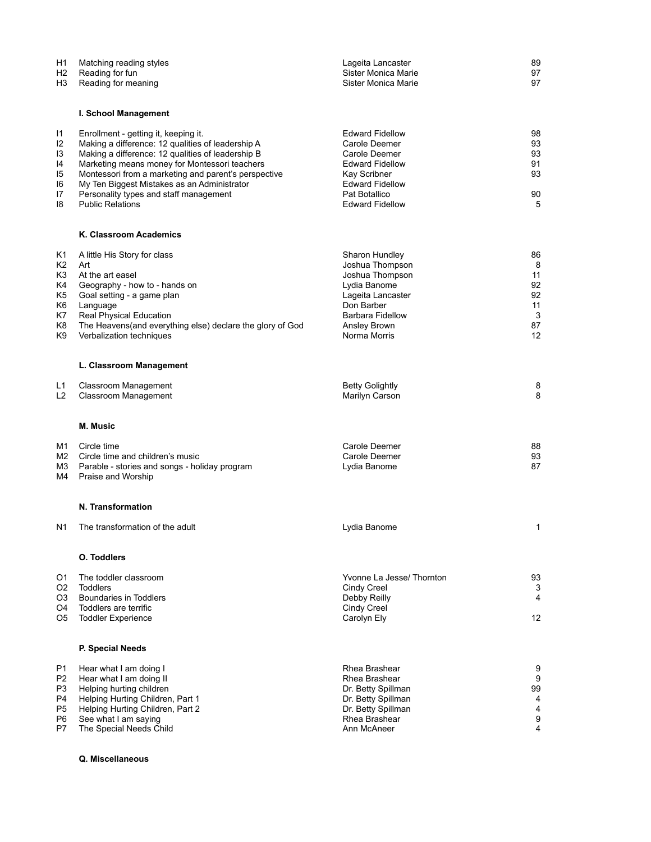| Η1<br>H2<br>H3                                     | Matching reading styles<br>Reading for fun<br>Reading for meaning                                                                                                                                                                                                                                                                                                           | Lageita Lancaster<br>Sister Monica Marie<br>Sister Monica Marie                                                                                                         | 89<br>97<br>97                                   |
|----------------------------------------------------|-----------------------------------------------------------------------------------------------------------------------------------------------------------------------------------------------------------------------------------------------------------------------------------------------------------------------------------------------------------------------------|-------------------------------------------------------------------------------------------------------------------------------------------------------------------------|--------------------------------------------------|
|                                                    | I. School Management                                                                                                                                                                                                                                                                                                                                                        |                                                                                                                                                                         |                                                  |
| 11<br>12<br>13<br>14<br>15<br>16<br>17<br>18       | Enrollment - getting it, keeping it.<br>Making a difference: 12 qualities of leadership A<br>Making a difference: 12 qualities of leadership B<br>Marketing means money for Montessori teachers<br>Montessori from a marketing and parent's perspective<br>My Ten Biggest Mistakes as an Administrator<br>Personality types and staff management<br><b>Public Relations</b> | <b>Edward Fidellow</b><br>Carole Deemer<br>Carole Deemer<br><b>Edward Fidellow</b><br>Kay Scribner<br><b>Edward Fidellow</b><br>Pat Botallico<br><b>Edward Fidellow</b> | 98<br>93<br>93<br>91<br>93<br>90<br>5            |
|                                                    | K. Classroom Academics                                                                                                                                                                                                                                                                                                                                                      |                                                                                                                                                                         |                                                  |
| Κ1<br>K2<br>K3<br>K4<br>K5<br>K6<br>Κ7<br>K8<br>K9 | A little His Story for class<br>Art<br>At the art easel<br>Geography - how to - hands on<br>Goal setting - a game plan<br>Language<br>Real Physical Education<br>The Heavens(and everything else) declare the glory of God<br>Verbalization techniques                                                                                                                      | Sharon Hundley<br>Joshua Thompson<br>Joshua Thompson<br>Lydia Banome<br>Lageita Lancaster<br>Don Barber<br><b>Barbara Fidellow</b><br>Ansley Brown<br>Norma Morris      | 86<br>8<br>11<br>92<br>92<br>11<br>3<br>87<br>12 |
|                                                    | L. Classroom Management                                                                                                                                                                                                                                                                                                                                                     |                                                                                                                                                                         |                                                  |
| L1<br>L <sub>2</sub>                               | Classroom Management<br>Classroom Management                                                                                                                                                                                                                                                                                                                                | <b>Betty Golightly</b><br>Marilyn Carson                                                                                                                                | 8<br>8                                           |
|                                                    | <b>M. Music</b>                                                                                                                                                                                                                                                                                                                                                             |                                                                                                                                                                         |                                                  |
| M1<br>M2<br>MЗ<br>M4                               | Circle time<br>Circle time and children's music<br>Parable - stories and songs - holiday program<br>Praise and Worship                                                                                                                                                                                                                                                      | Carole Deemer<br>Carole Deemer<br>Lydia Banome                                                                                                                          | 88<br>93<br>87                                   |
|                                                    | N. Transformation                                                                                                                                                                                                                                                                                                                                                           |                                                                                                                                                                         |                                                  |
| Ν1                                                 | The transformation of the adult                                                                                                                                                                                                                                                                                                                                             | Lydia Banome                                                                                                                                                            | 1                                                |
|                                                    | <b>O.</b> Toddlers                                                                                                                                                                                                                                                                                                                                                          |                                                                                                                                                                         |                                                  |
| Ο1<br>O2<br>O3<br>O4<br>O5                         | The toddler classroom<br><b>Toddlers</b><br>Boundaries in Toddlers<br>Toddlers are terrific<br><b>Toddler Experience</b>                                                                                                                                                                                                                                                    | Yvonne La Jesse/ Thornton<br>Cindy Creel<br>Debby Reilly<br>Cindy Creel<br>Carolyn Ely                                                                                  | 93<br>3<br>$\overline{4}$<br>12                  |
|                                                    | P. Special Needs                                                                                                                                                                                                                                                                                                                                                            |                                                                                                                                                                         |                                                  |
| P1<br>P2<br>P3<br>P4<br>P5<br>P6<br>P7             | Hear what I am doing I<br>Hear what I am doing II<br>Helping hurting children<br>Helping Hurting Children, Part 1<br>Helping Hurting Children, Part 2<br>See what I am saying<br>The Special Needs Child                                                                                                                                                                    | Rhea Brashear<br>Rhea Brashear<br>Dr. Betty Spillman<br>Dr. Betty Spillman<br>Dr. Betty Spillman<br>Rhea Brashear<br>Ann McAneer                                        | 9<br>9<br>99<br>4<br>4<br>9<br>4                 |

**Q. Miscellaneous**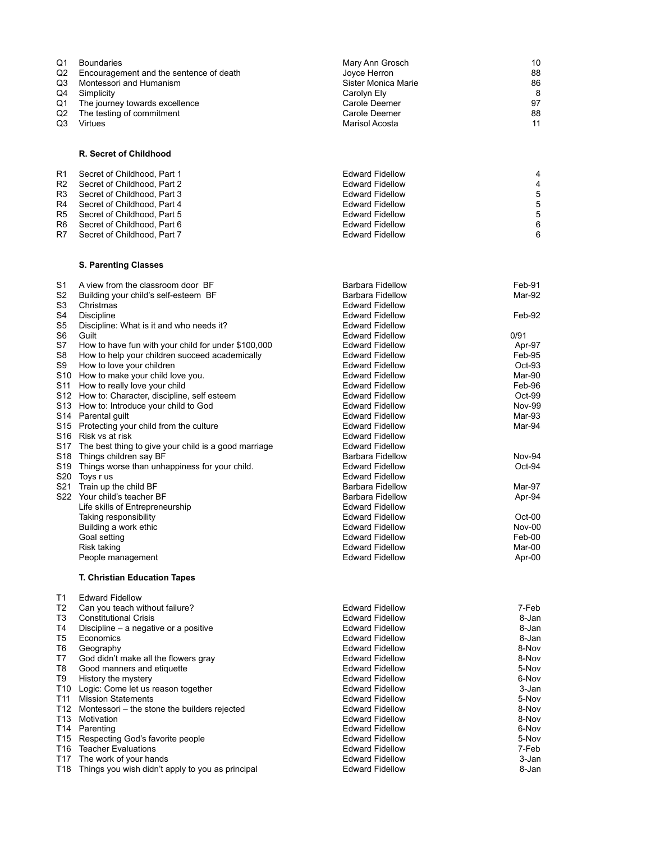| Q1<br>Q2<br>Q3<br>Q4<br>Q1<br>Q2<br>Q3 | <b>Boundaries</b><br>Encouragement and the sentence of death<br>Montessori and Humanism<br>Simplicity<br>The journey towards excellence<br>The testing of commitment<br>Virtues | Mary Ann Grosch<br>Joyce Herron<br>Sister Monica Marie<br>Carolyn Ely<br>Carole Deemer<br>Carole Deemer<br>Marisol Acosta | 10<br>88<br>86<br>8<br>97<br>88<br>11 |
|----------------------------------------|---------------------------------------------------------------------------------------------------------------------------------------------------------------------------------|---------------------------------------------------------------------------------------------------------------------------|---------------------------------------|
|                                        | <b>R. Secret of Childhood</b>                                                                                                                                                   |                                                                                                                           |                                       |
| R1                                     | Secret of Childhood, Part 1                                                                                                                                                     | <b>Edward Fidellow</b>                                                                                                    | 4                                     |
| R2<br>R3                               | Secret of Childhood, Part 2<br>Secret of Childhood, Part 3                                                                                                                      | <b>Edward Fidellow</b><br><b>Edward Fidellow</b>                                                                          | 4<br>5                                |
| R4                                     | Secret of Childhood, Part 4                                                                                                                                                     | <b>Edward Fidellow</b>                                                                                                    | 5                                     |
| R5                                     | Secret of Childhood, Part 5                                                                                                                                                     | <b>Edward Fidellow</b>                                                                                                    | 5                                     |
| R6<br>R7                               | Secret of Childhood, Part 6<br>Secret of Childhood, Part 7                                                                                                                      | <b>Edward Fidellow</b><br><b>Edward Fidellow</b>                                                                          | 6<br>6                                |
|                                        | <b>S. Parenting Classes</b>                                                                                                                                                     |                                                                                                                           |                                       |
| S1                                     | A view from the classroom door BF                                                                                                                                               | <b>Barbara Fidellow</b>                                                                                                   | Feb-91                                |
| S2                                     | Building your child's self-esteem BF                                                                                                                                            | <b>Barbara Fidellow</b>                                                                                                   | Mar-92                                |
| S3<br>S4                               | Christmas<br>Discipline                                                                                                                                                         | <b>Edward Fidellow</b><br><b>Edward Fidellow</b>                                                                          | Feb-92                                |
| S5                                     | Discipline: What is it and who needs it?                                                                                                                                        | <b>Edward Fidellow</b>                                                                                                    |                                       |
| S <sub>6</sub><br>S7                   | Guilt                                                                                                                                                                           | <b>Edward Fidellow</b><br><b>Edward Fidellow</b>                                                                          | 0/91                                  |
| S8                                     | How to have fun with your child for under \$100,000<br>How to help your children succeed academically                                                                           | <b>Edward Fidellow</b>                                                                                                    | Apr-97<br>Feb-95                      |
| S9                                     | How to love your children                                                                                                                                                       | <b>Edward Fidellow</b>                                                                                                    | Oct-93                                |
|                                        | S10 How to make your child love you.                                                                                                                                            | <b>Edward Fidellow</b>                                                                                                    | Mar-90                                |
|                                        | S11 How to really love your child<br>S12 How to: Character, discipline, self esteem                                                                                             | <b>Edward Fidellow</b><br><b>Edward Fidellow</b>                                                                          | Feb-96<br>Oct-99                      |
|                                        | S13 How to: Introduce your child to God                                                                                                                                         | <b>Edward Fidellow</b>                                                                                                    | <b>Nov-99</b>                         |
|                                        | S14 Parental guilt                                                                                                                                                              | <b>Edward Fidellow</b>                                                                                                    | Mar-93                                |
|                                        | S15 Protecting your child from the culture<br>S16 Risk vs at risk                                                                                                               | <b>Edward Fidellow</b><br><b>Edward Fidellow</b>                                                                          | Mar-94                                |
|                                        | S17 The best thing to give your child is a good marriage                                                                                                                        | <b>Edward Fidellow</b>                                                                                                    |                                       |
|                                        | S18 Things children say BF                                                                                                                                                      | <b>Barbara Fidellow</b>                                                                                                   | Nov-94                                |
|                                        | S19 Things worse than unhappiness for your child.<br>S20 Toys rus                                                                                                               | <b>Edward Fidellow</b><br><b>Edward Fidellow</b>                                                                          | Oct-94                                |
|                                        | S21 Train up the child BF                                                                                                                                                       | <b>Barbara Fidellow</b>                                                                                                   | Mar-97                                |
|                                        | S22 Your child's teacher BF                                                                                                                                                     | <b>Barbara Fidellow</b>                                                                                                   | Apr-94                                |
|                                        | Life skills of Entrepreneurship<br>Taking responsibility                                                                                                                        | <b>Edward Fidellow</b><br><b>Edward Fidellow</b>                                                                          | $Oct-00$                              |
|                                        | Building a work ethic                                                                                                                                                           | <b>Edward Fidellow</b>                                                                                                    | Nov-00                                |
|                                        | Goal setting                                                                                                                                                                    | <b>Edward Fidellow</b>                                                                                                    | Feb-00                                |
|                                        | Risk taking<br>People management                                                                                                                                                | <b>Edward Fidellow</b><br><b>Edward Fidellow</b>                                                                          | Mar-00<br>Apr-00                      |
|                                        | <b>T. Christian Education Tapes</b>                                                                                                                                             |                                                                                                                           |                                       |
| Τ1                                     | <b>Edward Fidellow</b>                                                                                                                                                          |                                                                                                                           |                                       |
| T2<br>T3                               | Can you teach without failure?<br><b>Constitutional Crisis</b>                                                                                                                  | <b>Edward Fidellow</b><br><b>Edward Fidellow</b>                                                                          | 7-Feb<br>8-Jan                        |
| T4                                     | Discipline – a negative or a positive                                                                                                                                           | <b>Edward Fidellow</b>                                                                                                    | 8-Jan                                 |
| T5                                     | Economics                                                                                                                                                                       | <b>Edward Fidellow</b>                                                                                                    | 8-Jan                                 |
| T6<br>Τ7                               | Geography<br>God didn't make all the flowers gray                                                                                                                               | <b>Edward Fidellow</b><br><b>Edward Fidellow</b>                                                                          | 8-Nov<br>8-Nov                        |
| T8                                     | Good manners and etiquette                                                                                                                                                      | <b>Edward Fidellow</b>                                                                                                    | 5-Nov                                 |
| T9                                     | History the mystery                                                                                                                                                             | <b>Edward Fidellow</b>                                                                                                    | 6-Nov                                 |
| T11                                    | T10 Logic: Come let us reason together<br><b>Mission Statements</b>                                                                                                             | <b>Edward Fidellow</b><br><b>Edward Fidellow</b>                                                                          | 3-Jan<br>5-Nov                        |
|                                        | T12 Montessori - the stone the builders rejected                                                                                                                                | <b>Edward Fidellow</b>                                                                                                    | 8-Nov                                 |
|                                        | T13 Motivation                                                                                                                                                                  | <b>Edward Fidellow</b>                                                                                                    | 8-Nov                                 |
|                                        | T14 Parenting<br>T15 Respecting God's favorite people                                                                                                                           | <b>Edward Fidellow</b><br><b>Edward Fidellow</b>                                                                          | 6-Nov<br>5-Nov                        |
|                                        | T16 Teacher Evaluations                                                                                                                                                         | <b>Edward Fidellow</b>                                                                                                    | 7-Feb                                 |
|                                        | T17 The work of your hands                                                                                                                                                      | <b>Edward Fidellow</b>                                                                                                    | 3-Jan                                 |
|                                        | T18 Things you wish didn't apply to you as principal                                                                                                                            | <b>Edward Fidellow</b>                                                                                                    | 8-Jan                                 |